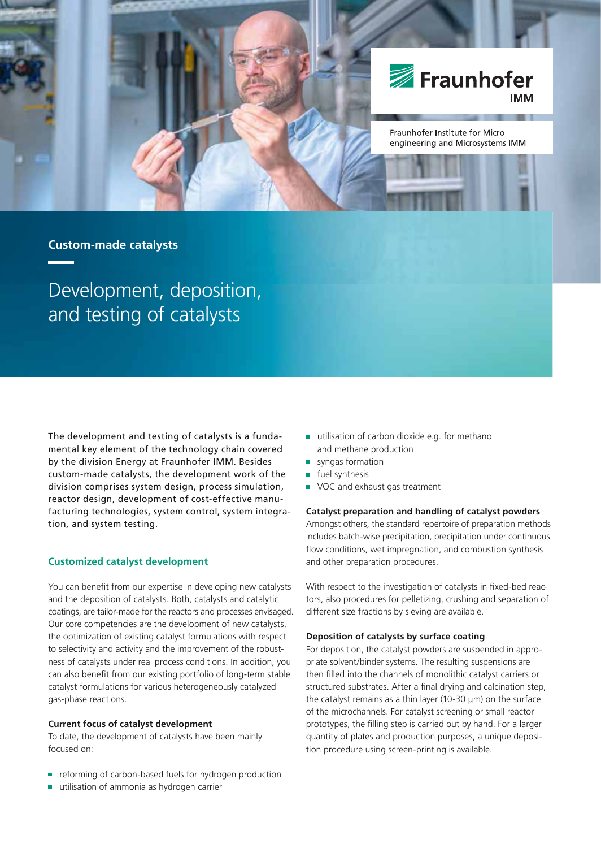

# **Custom-made catalysts**

Development, deposition, and testing of catalysts

The development and testing of catalysts is a fundamental key element of the technology chain covered by the division Energy at Fraunhofer IMM. Besides custom-made catalysts, the development work of the division comprises system design, process simulation, reactor design, development of cost-effective manufacturing technologies, system control, system integration, and system testing.

## **Customized catalyst development**

You can benefit from our expertise in developing new catalysts and the deposition of catalysts. Both, catalysts and catalytic coatings, are tailor-made for the reactors and processes envisaged. Our core competencies are the development of new catalysts, the optimization of existing catalyst formulations with respect to selectivity and activity and the improvement of the robustness of catalysts under real process conditions. In addition, you can also benefit from our existing portfolio of long-term stable catalyst formulations for various heterogeneously catalyzed gas-phase reactions.

#### **Current focus of catalyst development**

To date, the development of catalysts have been mainly focused on:

- reforming of carbon-based fuels for hydrogen production
- utilisation of ammonia as hydrogen carrier
- utilisation of carbon dioxide e.g. for methanol and methane production
- syngas formation
- fuel synthesis
- VOC and exhaust gas treatment

### **Catalyst preparation and handling of catalyst powders**

Amongst others, the standard repertoire of preparation methods includes batch-wise precipitation, precipitation under continuous flow conditions, wet impregnation, and combustion synthesis and other preparation procedures.

With respect to the investigation of catalysts in fixed-bed reactors, also procedures for pelletizing, crushing and separation of different size fractions by sieving are available.

## **Deposition of catalysts by surface coating**

For deposition, the catalyst powders are suspended in appropriate solvent/binder systems. The resulting suspensions are then filled into the channels of monolithic catalyst carriers or structured substrates. After a final drying and calcination step, the catalyst remains as a thin layer (10-30 μm) on the surface of the microchannels. For catalyst screening or small reactor prototypes, the filling step is carried out by hand. For a larger quantity of plates and production purposes, a unique deposition procedure using screen-printing is available.